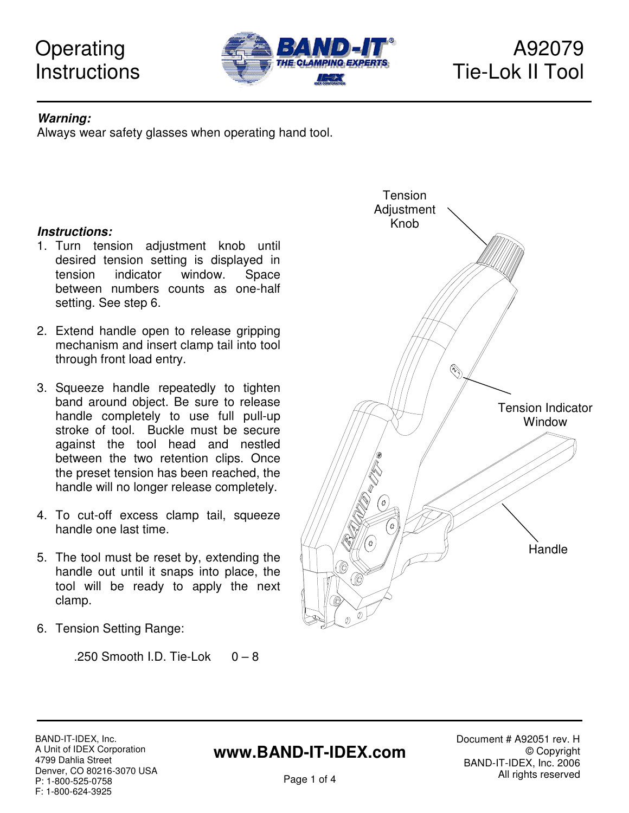# **Operating Instructions**



#### **Warning:**

Always wear safety glasses when operating hand tool.

#### **Instructions:**

- 1. Turn tension adjustment knob until desired tension setting is displayed in tension indicator window. Space between numbers counts as one-half setting. See step 6.
- 2. Extend handle open to release gripping mechanism and insert clamp tail into tool through front load entry.
- 3. Squeeze handle repeatedly to tighten band around object. Be sure to release handle completely to use full pull-up stroke of tool. Buckle must be secure against the tool head and nestled between the two retention clips. Once the preset tension has been reached, the handle will no longer release completely.
- 4. To cut-off excess clamp tail, squeeze handle one last time.
- 5. The tool must be reset by, extending the handle out until it snaps into place, the tool will be ready to apply the next clamp.
- 6. Tension Setting Range:

.250 Smooth I.D. Tie-Lok  $0 - 8$ 



BAND-IT-IDEX, Inc. A Unit of IDEX Corporation 4799 Dahlia Street Denver, CO 80216-3070 USA P: 1-800-525-0758 F: 1-800-624-3925

## **www.BAND-IT-IDEX.com**

Document # A92051 rev. H © Copyright BAND-IT-IDEX, Inc. 2006 All rights reserved

Page 1 of 4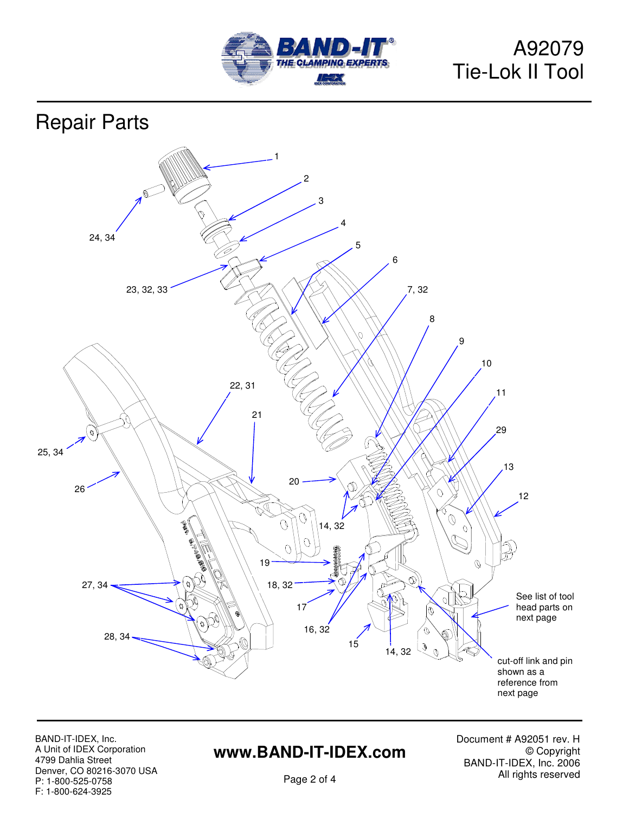

# A92079 Tie-Lok II Tool

Repair Parts



BAND-IT-IDEX, Inc. A Unit of IDEX Corporation 4799 Dahlia Street Denver, CO 80216-3070 USA P: 1-800-525-0758 F: 1-800-624-3925

# **www.BAND-IT-IDEX.com**

Document # A92051 rev. H © Copyright BAND-IT-IDEX, Inc. 2006 All rights reserved

Page 2 of 4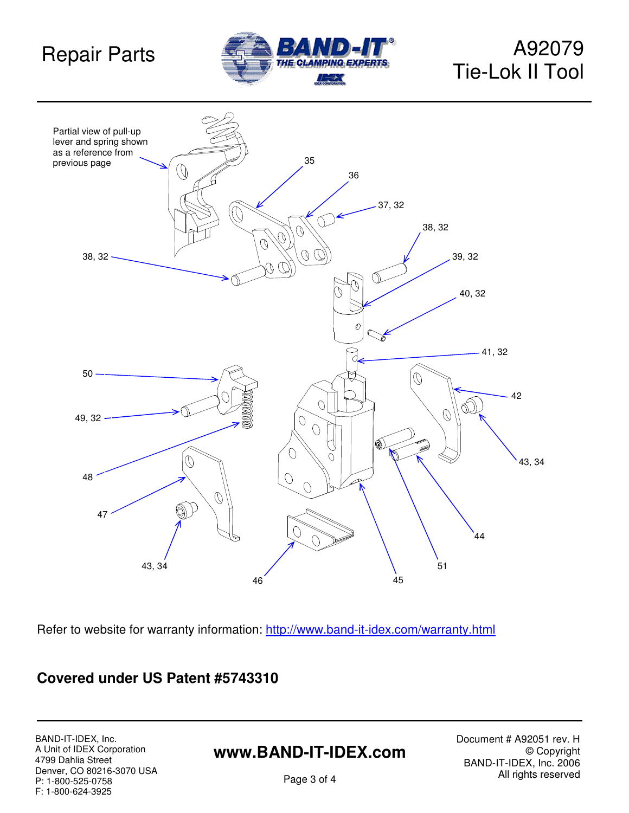# Repair Parts



# A92079 Tie-Lok II Tool



Refer to website for warranty information: http://www.band-it-idex.com/warranty.html

#### **Covered under US Patent #5743310**

BAND-IT-IDEX, Inc. A Unit of IDEX Corporation 4799 Dahlia Street Denver, CO 80216-3070 USA P: 1-800-525-0758 F: 1-800-624-3925

## **www.BAND-IT-IDEX.com**

Document # A92051 rev. H © Copyright BAND-IT-IDEX, Inc. 2006 All rights reserved

Page 3 of 4